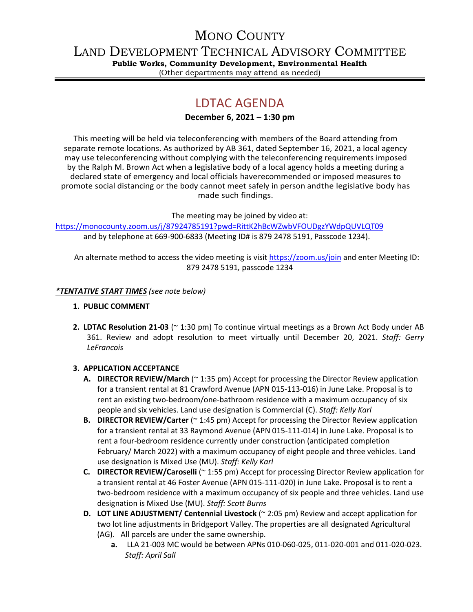# MONO COUNTY

LAND DEVELOPMENT TECHNICAL ADVISORY COMMITTEE

**Public Works, Community Development, Environmental Health** (Other departments may attend as needed)

# LDTAC AGENDA

### **December 6, 2021 – 1:30 pm**

This meeting will be held via teleconferencing with members of the Board attending from separate remote locations. As authorized by AB 361, dated September 16, 2021, a local agency may use teleconferencing without complying with the teleconferencing requirements imposed by the Ralph M. Brown Act when a legislative body of a local agency holds a meeting during a declared state of emergency and local officials haverecommended or imposed measures to promote social distancing or the body cannot meet safely in person andthe legislative body has made such findings.

The meeting may be joined by video at:

<https://monocounty.zoom.us/j/87924785191?pwd=RittK2hBcWZwbVFOUDgzYWdpQUVLQT09> and by telephone at 669-900-6833 (Meeting ID# is 879 2478 5191, Passcode 1234).

An alternate method to access the video meeting is visit <https://zoom.us/join> and enter Meeting ID: 879 2478 5191*,* passcode 1234

### *\*TENTATIVE START TIMES (see note below)*

- **1. PUBLIC COMMENT**
- **2. LDTAC Resolution 21-03** (~ 1:30 pm) To continue virtual meetings as a Brown Act Body under AB 361. Review and adopt resolution to meet virtually until December 20, 2021. *Staff: Gerry LeFrancois*

## **3. APPLICATION ACCEPTANCE**

- **A. DIRECTOR REVIEW/March** (~ 1:35 pm) Accept for processing the Director Review application for a transient rental at 81 Crawford Avenue (APN 015-113-016) in June Lake. Proposal is to rent an existing two-bedroom/one-bathroom residence with a maximum occupancy of six people and six vehicles. Land use designation is Commercial (C). *Staff: Kelly Karl*
- **B. DIRECTOR REVIEW/Carter** (~ 1:45 pm) Accept for processing the Director Review application for a transient rental at 33 Raymond Avenue (APN 015-111-014) in June Lake. Proposal is to rent a four-bedroom residence currently under construction (anticipated completion February/ March 2022) with a maximum occupancy of eight people and three vehicles. Land use designation is Mixed Use (MU). *Staff: Kelly Karl*
- **C. DIRECTOR REVIEW/Caroselli** (~ 1:55 pm) Accept for processing Director Review application for a transient rental at 46 Foster Avenue (APN 015-111-020) in June Lake. Proposal is to rent a two-bedroom residence with a maximum occupancy of six people and three vehicles. Land use designation is Mixed Use (MU). *Staff: Scott Burns*
- **D. LOT LINE ADJUSTMENT/ Centennial Livestock** (~ 2:05 pm) Review and accept application for two lot line adjustments in Bridgeport Valley. The properties are all designated Agricultural (AG). All parcels are under the same ownership.
	- **a.** LLA 21-003 MC would be between APNs 010-060-025, 011-020-001 and 011-020-023. *Staff: April Sall*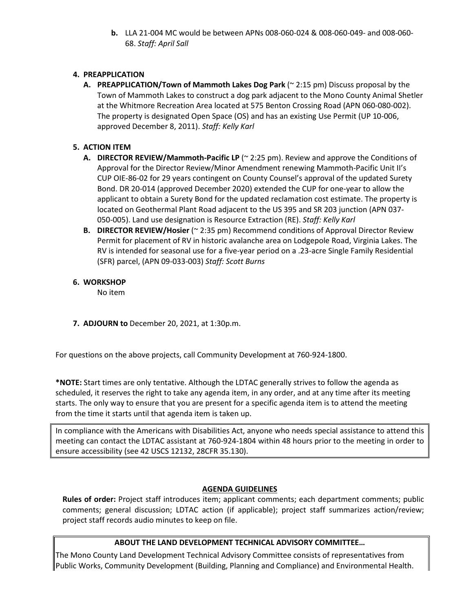**b.** LLA 21-004 MC would be between APNs 008-060-024 & 008-060-049- and 008-060- 68. *Staff: April Sall*

#### **4. PREAPPLICATION**

**A. PREAPPLICATION/Town of Mammoth Lakes Dog Park** (~ 2:15 pm) Discuss proposal by the Town of Mammoth Lakes to construct a dog park adjacent to the Mono County Animal Shetler at the Whitmore Recreation Area located at 575 Benton Crossing Road (APN 060-080-002). The property is designated Open Space (OS) and has an existing Use Permit (UP 10-006, approved December 8, 2011). *Staff: Kelly Karl*

#### **5. ACTION ITEM**

- **A. DIRECTOR REVIEW/Mammoth-Pacific LP** (~ 2:25 pm). Review and approve the Conditions of Approval for the Director Review/Minor Amendment renewing Mammoth-Pacific Unit II's CUP OIE-86-02 for 29 years contingent on County Counsel's approval of the updated Surety Bond. DR 20-014 (approved December 2020) extended the CUP for one-year to allow the applicant to obtain a Surety Bond for the updated reclamation cost estimate. The property is located on Geothermal Plant Road adjacent to the US 395 and SR 203 junction (APN 037- 050-005). Land use designation is Resource Extraction (RE). *Staff: Kelly Karl*
- **B. DIRECTOR REVIEW/Hosier** (~ 2:35 pm) Recommend conditions of Approval Director Review Permit for placement of RV in historic avalanche area on Lodgepole Road, Virginia Lakes. The RV is intended for seasonal use for a five-year period on a .23-acre Single Family Residential (SFR) parcel, (APN 09-033-003) *Staff: Scott Burns*

#### **6. WORKSHOP**

No item

**7. ADJOURN to** December 20, 2021, at 1:30p.m.

For questions on the above projects, call Community Development at 760-924-1800.

**\*NOTE:** Start times are only tentative. Although the LDTAC generally strives to follow the agenda as scheduled, it reserves the right to take any agenda item, in any order, and at any time after its meeting starts. The only way to ensure that you are present for a specific agenda item is to attend the meeting from the time it starts until that agenda item is taken up.

In compliance with the Americans with Disabilities Act, anyone who needs special assistance to attend this meeting can contact the LDTAC assistant at 760-924-1804 within 48 hours prior to the meeting in order to ensure accessibility (see 42 USCS 12132, 28CFR 35.130).

#### **AGENDA GUIDELINES**

**Rules of order:** Project staff introduces item; applicant comments; each department comments; public comments; general discussion; LDTAC action (if applicable); project staff summarizes action/review; project staff records audio minutes to keep on file.

#### **ABOUT THE LAND DEVELOPMENT TECHNICAL ADVISORY COMMITTEE…**

The Mono County Land Development Technical Advisory Committee consists of representatives from Public Works, Community Development (Building, Planning and Compliance) and Environmental Health.